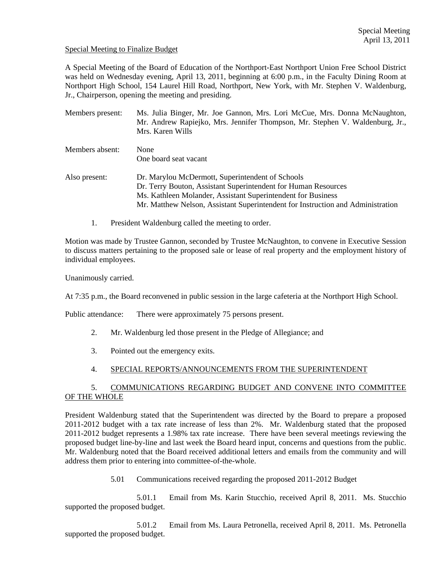#### Special Meeting to Finalize Budget

A Special Meeting of the Board of Education of the Northport-East Northport Union Free School District was held on Wednesday evening, April 13, 2011, beginning at 6:00 p.m., in the Faculty Dining Room at Northport High School, 154 Laurel Hill Road, Northport, New York, with Mr. Stephen V. Waldenburg, Jr., Chairperson, opening the meeting and presiding.

| Members present: | Ms. Julia Binger, Mr. Joe Gannon, Mrs. Lori McCue, Mrs. Donna McNaughton,<br>Mr. Andrew Rapiejko, Mrs. Jennifer Thompson, Mr. Stephen V. Waldenburg, Jr.,<br>Mrs. Karen Wills                                                                                         |
|------------------|-----------------------------------------------------------------------------------------------------------------------------------------------------------------------------------------------------------------------------------------------------------------------|
| Members absent:  | None<br>One board seat vacant                                                                                                                                                                                                                                         |
| Also present:    | Dr. Marylou McDermott, Superintendent of Schools<br>Dr. Terry Bouton, Assistant Superintendent for Human Resources<br>Ms. Kathleen Molander, Assistant Superintendent for Business<br>Mr. Matthew Nelson, Assistant Superintendent for Instruction and Administration |

1. President Waldenburg called the meeting to order.

Motion was made by Trustee Gannon, seconded by Trustee McNaughton, to convene in Executive Session to discuss matters pertaining to the proposed sale or lease of real property and the employment history of individual employees.

Unanimously carried.

At 7:35 p.m., the Board reconvened in public session in the large cafeteria at the Northport High School.

Public attendance: There were approximately 75 persons present.

- 2. Mr. Waldenburg led those present in the Pledge of Allegiance; and
- 3. Pointed out the emergency exits.

## 4. SPECIAL REPORTS/ANNOUNCEMENTS FROM THE SUPERINTENDENT

# 5. COMMUNICATIONS REGARDING BUDGET AND CONVENE INTO COMMITTEE OF THE WHOLE

President Waldenburg stated that the Superintendent was directed by the Board to prepare a proposed 2011-2012 budget with a tax rate increase of less than 2%. Mr. Waldenburg stated that the proposed 2011-2012 budget represents a 1.98% tax rate increase. There have been several meetings reviewing the proposed budget line-by-line and last week the Board heard input, concerns and questions from the public. Mr. Waldenburg noted that the Board received additional letters and emails from the community and will address them prior to entering into committee-of-the-whole.

5.01 Communications received regarding the proposed 2011-2012 Budget

 5.01.1 Email from Ms. Karin Stucchio, received April 8, 2011. Ms. Stucchio supported the proposed budget.

 5.01.2 Email from Ms. Laura Petronella, received April 8, 2011. Ms. Petronella supported the proposed budget.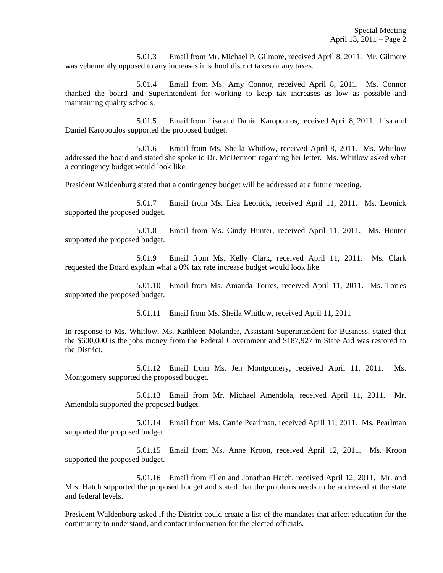5.01.3 Email from Mr. Michael P. Gilmore, received April 8, 2011. Mr. Gilmore was vehemently opposed to any increases in school district taxes or any taxes.

 5.01.4 Email from Ms. Amy Connor, received April 8, 2011. Ms. Connor thanked the board and Superintendent for working to keep tax increases as low as possible and maintaining quality schools.

 5.01.5 Email from Lisa and Daniel Karopoulos, received April 8, 2011. Lisa and Daniel Karopoulos supported the proposed budget.

 5.01.6 Email from Ms. Sheila Whitlow, received April 8, 2011. Ms. Whitlow addressed the board and stated she spoke to Dr. McDermott regarding her letter. Ms. Whitlow asked what a contingency budget would look like.

President Waldenburg stated that a contingency budget will be addressed at a future meeting.

 5.01.7 Email from Ms. Lisa Leonick, received April 11, 2011. Ms. Leonick supported the proposed budget.

 5.01.8 Email from Ms. Cindy Hunter, received April 11, 2011. Ms. Hunter supported the proposed budget.

 5.01.9 Email from Ms. Kelly Clark, received April 11, 2011. Ms. Clark requested the Board explain what a 0% tax rate increase budget would look like.

 5.01.10 Email from Ms. Amanda Torres, received April 11, 2011. Ms. Torres supported the proposed budget.

5.01.11 Email from Ms. Sheila Whitlow, received April 11, 2011

In response to Ms. Whitlow, Ms. Kathleen Molander, Assistant Superintendent for Business, stated that the \$600,000 is the jobs money from the Federal Government and \$187,927 in State Aid was restored to the District.

 5.01.12 Email from Ms. Jen Montgomery, received April 11, 2011. Ms. Montgomery supported the proposed budget.

 5.01.13 Email from Mr. Michael Amendola, received April 11, 2011. Mr. Amendola supported the proposed budget.

 5.01.14 Email from Ms. Carrie Pearlman, received April 11, 2011. Ms. Pearlman supported the proposed budget.

 5.01.15 Email from Ms. Anne Kroon, received April 12, 2011. Ms. Kroon supported the proposed budget.

 5.01.16 Email from Ellen and Jonathan Hatch, received April 12, 2011. Mr. and Mrs. Hatch supported the proposed budget and stated that the problems needs to be addressed at the state and federal levels.

President Waldenburg asked if the District could create a list of the mandates that affect education for the community to understand, and contact information for the elected officials.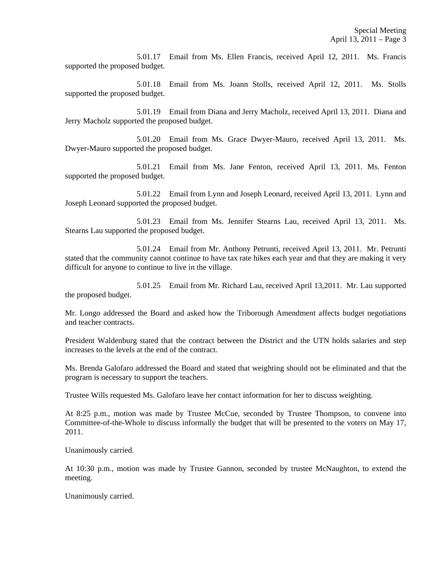5.01.17 Email from Ms. Ellen Francis, received April 12, 2011. Ms. Francis supported the proposed budget.

 5.01.18 Email from Ms. Joann Stolls, received April 12, 2011. Ms. Stolls supported the proposed budget.

 5.01.19 Email from Diana and Jerry Macholz, received April 13, 2011. Diana and Jerry Macholz supported the proposed budget.

 5.01.20 Email from Ms. Grace Dwyer-Mauro, received April 13, 2011. Ms. Dwyer-Mauro supported the proposed budget.

 5.01.21 Email from Ms. Jane Fenton, received April 13, 2011. Ms. Fenton supported the proposed budget.

 5.01.22 Email from Lynn and Joseph Leonard, received April 13, 2011. Lynn and Joseph Leonard supported the proposed budget.

 5.01.23 Email from Ms. Jennifer Stearns Lau, received April 13, 2011. Ms. Stearns Lau supported the proposed budget.

 5.01.24 Email from Mr. Anthony Petrunti, received April 13, 2011. Mr. Petrunti stated that the community cannot continue to have tax rate hikes each year and that they are making it very difficult for anyone to continue to live in the village.

 5.01.25 Email from Mr. Richard Lau, received April 13,2011. Mr. Lau supported the proposed budget.

Mr. Longo addressed the Board and asked how the Triborough Amendment affects budget negotiations and teacher contracts.

President Waldenburg stated that the contract between the District and the UTN holds salaries and step increases to the levels at the end of the contract.

Ms. Brenda Galofaro addressed the Board and stated that weighting should not be eliminated and that the program is necessary to support the teachers.

Trustee Wills requested Ms. Galofaro leave her contact information for her to discuss weighting.

At 8:25 p.m., motion was made by Trustee McCue, seconded by Trustee Thompson, to convene into Committee-of-the-Whole to discuss informally the budget that will be presented to the voters on May 17, 2011.

Unanimously carried.

At 10:30 p.m., motion was made by Trustee Gannon, seconded by trustee McNaughton, to extend the meeting.

Unanimously carried.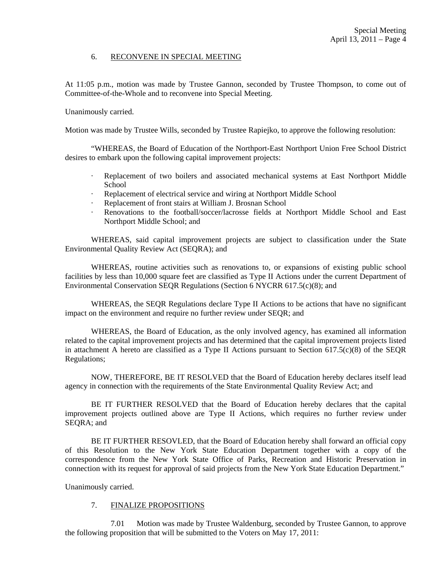### 6. RECONVENE IN SPECIAL MEETING

At 11:05 p.m., motion was made by Trustee Gannon, seconded by Trustee Thompson, to come out of Committee-of-the-Whole and to reconvene into Special Meeting.

Unanimously carried.

Motion was made by Trustee Wills, seconded by Trustee Rapiejko, to approve the following resolution:

 "WHEREAS, the Board of Education of the Northport-East Northport Union Free School District desires to embark upon the following capital improvement projects:

- · Replacement of two boilers and associated mechanical systems at East Northport Middle School
- · Replacement of electrical service and wiring at Northport Middle School
- Replacement of front stairs at William J. Brosnan School
- · Renovations to the football/soccer/lacrosse fields at Northport Middle School and East Northport Middle School; and

WHEREAS, said capital improvement projects are subject to classification under the State Environmental Quality Review Act (SEQRA); and

WHEREAS, routine activities such as renovations to, or expansions of existing public school facilities by less than 10,000 square feet are classified as Type II Actions under the current Department of Environmental Conservation SEQR Regulations (Section 6 NYCRR 617.5(c)(8); and

WHEREAS, the SEQR Regulations declare Type II Actions to be actions that have no significant impact on the environment and require no further review under SEQR; and

WHEREAS, the Board of Education, as the only involved agency, has examined all information related to the capital improvement projects and has determined that the capital improvement projects listed in attachment A hereto are classified as a Type II Actions pursuant to Section 617.5(c)(8) of the SEQR Regulations;

NOW, THEREFORE, BE IT RESOLVED that the Board of Education hereby declares itself lead agency in connection with the requirements of the State Environmental Quality Review Act; and

BE IT FURTHER RESOLVED that the Board of Education hereby declares that the capital improvement projects outlined above are Type II Actions, which requires no further review under SEQRA; and

BE IT FURTHER RESOVLED, that the Board of Education hereby shall forward an official copy of this Resolution to the New York State Education Department together with a copy of the correspondence from the New York State Office of Parks, Recreation and Historic Preservation in connection with its request for approval of said projects from the New York State Education Department."

Unanimously carried.

### 7. FINALIZE PROPOSITIONS

 7.01 Motion was made by Trustee Waldenburg, seconded by Trustee Gannon, to approve the following proposition that will be submitted to the Voters on May 17, 2011: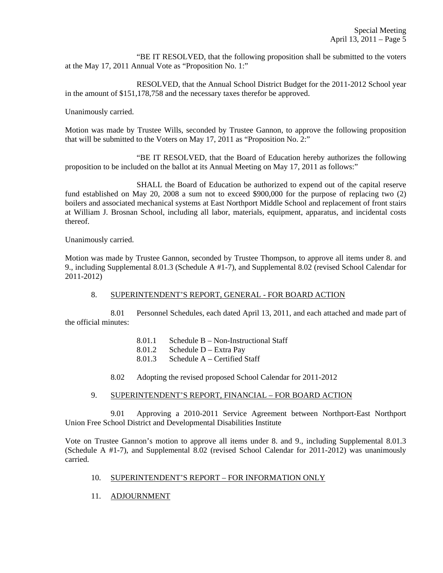"BE IT RESOLVED, that the following proposition shall be submitted to the voters at the May 17, 2011 Annual Vote as "Proposition No. 1:"

 RESOLVED, that the Annual School District Budget for the 2011-2012 School year in the amount of \$151,178,758 and the necessary taxes therefor be approved.

Unanimously carried.

Motion was made by Trustee Wills, seconded by Trustee Gannon, to approve the following proposition that will be submitted to the Voters on May 17, 2011 as "Proposition No. 2:"

 "BE IT RESOLVED, that the Board of Education hereby authorizes the following proposition to be included on the ballot at its Annual Meeting on May 17, 2011 as follows:"

 SHALL the Board of Education be authorized to expend out of the capital reserve fund established on May 20, 2008 a sum not to exceed \$900,000 for the purpose of replacing two (2) boilers and associated mechanical systems at East Northport Middle School and replacement of front stairs at William J. Brosnan School, including all labor, materials, equipment, apparatus, and incidental costs thereof.

Unanimously carried.

Motion was made by Trustee Gannon, seconded by Trustee Thompson, to approve all items under 8. and 9., including Supplemental 8.01.3 (Schedule A #1-7), and Supplemental 8.02 (revised School Calendar for 2011-2012)

## 8. SUPERINTENDENT'S REPORT, GENERAL - FOR BOARD ACTION

 8.01 Personnel Schedules, each dated April 13, 2011, and each attached and made part of the official minutes:

- 8.01.1 Schedule B Non-Instructional Staff
- 8.01.2 Schedule D Extra Pay
- 8.01.3 Schedule A Certified Staff
- 8.02 Adopting the revised proposed School Calendar for 2011-2012

## 9. SUPERINTENDENT'S REPORT, FINANCIAL – FOR BOARD ACTION

 9.01 Approving a 2010-2011 Service Agreement between Northport-East Northport Union Free School District and Developmental Disabilities Institute

Vote on Trustee Gannon's motion to approve all items under 8. and 9., including Supplemental 8.01.3 (Schedule A #1-7), and Supplemental 8.02 (revised School Calendar for 2011-2012) was unanimously carried.

## 10. SUPERINTENDENT'S REPORT – FOR INFORMATION ONLY

11. ADJOURNMENT